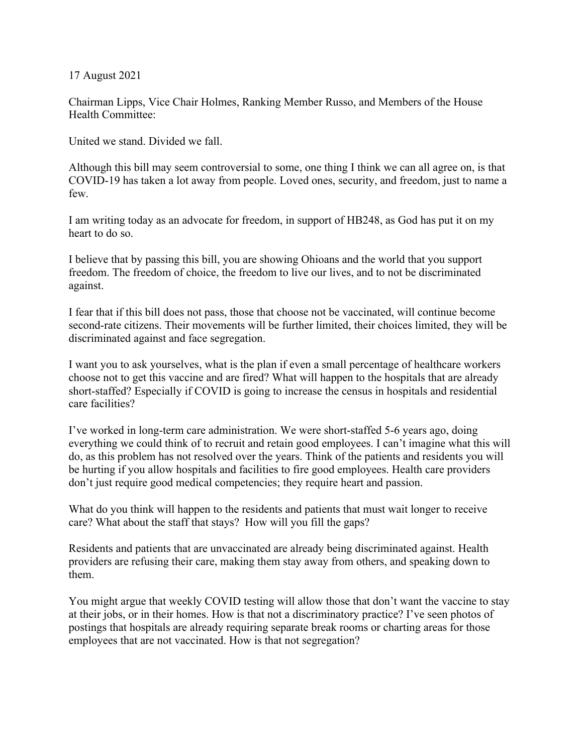17 August 2021

Chairman Lipps, Vice Chair Holmes, Ranking Member Russo, and Members of the House Health Committee:

United we stand. Divided we fall.

Although this bill may seem controversial to some, one thing I think we can all agree on, is that COVID-19 has taken a lot away from people. Loved ones, security, and freedom, just to name a few.

I am writing today as an advocate for freedom, in support of HB248, as God has put it on my heart to do so.

I believe that by passing this bill, you are showing Ohioans and the world that you support freedom. The freedom of choice, the freedom to live our lives, and to not be discriminated against.

I fear that if this bill does not pass, those that choose not be vaccinated, will continue become second-rate citizens. Their movements will be further limited, their choices limited, they will be discriminated against and face segregation.

I want you to ask yourselves, what is the plan if even a small percentage of healthcare workers choose not to get this vaccine and are fired? What will happen to the hospitals that are already short-staffed? Especially if COVID is going to increase the census in hospitals and residential care facilities?

I've worked in long-term care administration. We were short-staffed 5-6 years ago, doing everything we could think of to recruit and retain good employees. I can't imagine what this will do, as this problem has not resolved over the years. Think of the patients and residents you will be hurting if you allow hospitals and facilities to fire good employees. Health care providers don't just require good medical competencies; they require heart and passion.

What do you think will happen to the residents and patients that must wait longer to receive care? What about the staff that stays? How will you fill the gaps?

Residents and patients that are unvaccinated are already being discriminated against. Health providers are refusing their care, making them stay away from others, and speaking down to them.

You might argue that weekly COVID testing will allow those that don't want the vaccine to stay at their jobs, or in their homes. How is that not a discriminatory practice? I've seen photos of postings that hospitals are already requiring separate break rooms or charting areas for those employees that are not vaccinated. How is that not segregation?